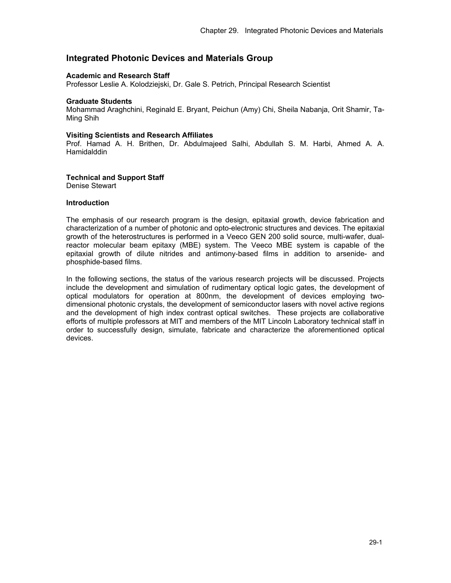# **Integrated Photonic Devices and Materials Group**

#### **Academic and Research Staff**

Professor Leslie A. Kolodziejski, Dr. Gale S. Petrich, Principal Research Scientist

#### **Graduate Students**

Mohammad Araghchini, Reginald E. Bryant, Peichun (Amy) Chi, Sheila Nabanja, Orit Shamir, Ta-Ming Shih

#### **Visiting Scientists and Research Affiliates**

Prof. Hamad A. H. Brithen, Dr. Abdulmajeed Salhi, Abdullah S. M. Harbi, Ahmed A. A. **Hamidalddin** 

#### **Technical and Support Staff**

Denise Stewart

## **Introduction**

The emphasis of our research program is the design, epitaxial growth, device fabrication and characterization of a number of photonic and opto-electronic structures and devices. The epitaxial growth of the heterostructures is performed in a Veeco GEN 200 solid source, multi-wafer, dualreactor molecular beam epitaxy (MBE) system. The Veeco MBE system is capable of the epitaxial growth of dilute nitrides and antimony-based films in addition to arsenide- and phosphide-based films.

In the following sections, the status of the various research projects will be discussed. Projects include the development and simulation of rudimentary optical logic gates, the development of optical modulators for operation at 800nm, the development of devices employing twodimensional photonic crystals, the development of semiconductor lasers with novel active regions and the development of high index contrast optical switches. These projects are collaborative efforts of multiple professors at MIT and members of the MIT Lincoln Laboratory technical staff in order to successfully design, simulate, fabricate and characterize the aforementioned optical devices.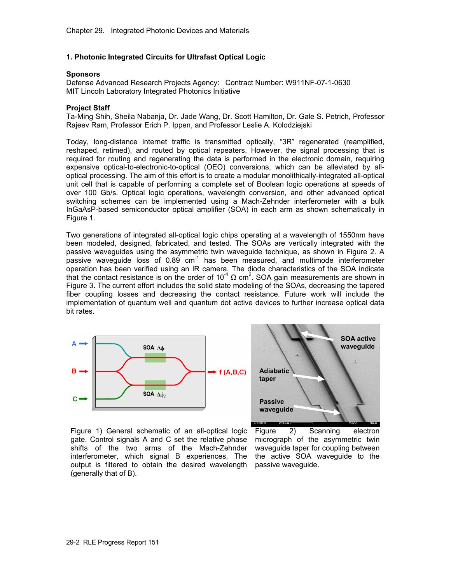## **1. Photonic Integrated Circuits for Ultrafast Optical Logic**

# **Sponsors**

Defense Advanced Research Projects Agency: Contract Number: W911NF-07-1-0630 MIT Lincoln Laboratory Integrated Photonics Initiative

#### **Project Staff**

Ta-Ming Shih, Sheila Nabanja, Dr. Jade Wang, Dr. Scott Hamilton, Dr. Gale S. Petrich, Professor Rajeev Ram, Professor Erich P. Ippen, and Professor Leslie A. Kolodziejski

Today, long-distance internet traffic is transmitted optically, "3R" regenerated (reamplified, reshaped, retimed), and routed by optical repeaters. However, the signal processing that is required for routing and regenerating the data is performed in the electronic domain, requiring expensive optical-to-electronic-to-optical (OEO) conversions, which can be alleviated by alloptical processing. The aim of this effort is to create a modular monolithically-integrated all-optical unit cell that is capable of performing a complete set of Boolean logic operations at speeds of over 100 Gb/s. Optical logic operations, wavelength conversion, and other advanced optical switching schemes can be implemented using a Mach-Zehnder interferometer with a bulk InGaAsP-based semiconductor optical amplifier (SOA) in each arm as shown schematically in Figure 1.

Two generations of integrated all-optical logic chips operating at a wavelength of 1550nm have been modeled, designed, fabricated, and tested. The SOAs are vertically integrated with the passive waveguides using the asymmetric twin waveguide technique, as shown in Figure 2. A  $p$ assive waveguide loss of 0.89 cm<sup>-1</sup> has been measured, and multimode interferometer operation has been verified using an IR camera. The diode characteristics of the SOA indicate that the contact resistance is on the order of  $10^{-4}$  Q cm<sup>2</sup>. SOA gain measurements are shown in Figure 3. The current effort includes the solid state modeling of the SOAs, decreasing the tapered fiber coupling losses and decreasing the contact resistance. Future work will include the implementation of quantum well and quantum dot active devices to further increase optical data bit rates.





Figure 1) General schematic of an all-optical logic Figure gate. Control signals A and C set the relative phase shifts of the two arms of the Mach-Zehnder interferometer, which signal B experiences. The output is filtered to obtain the desired wavelength passive waveguide. (generally that of B).

2) Scanning electron micrograph of the asymmetric twin waveguide taper for coupling between the active SOA waveguide to the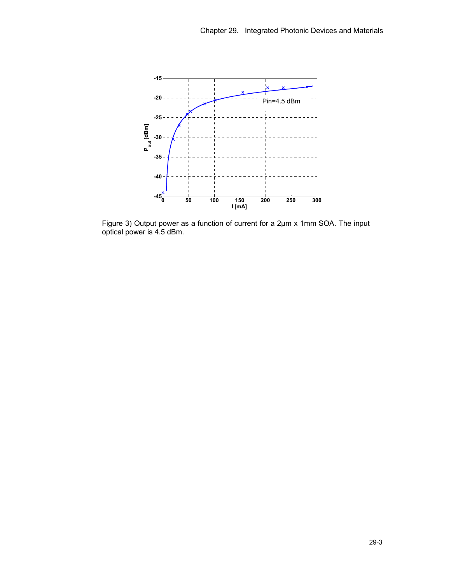

Figure 3) Output power as a function of current for a 2µm x 1mm SOA. The input optical power is 4.5 dBm.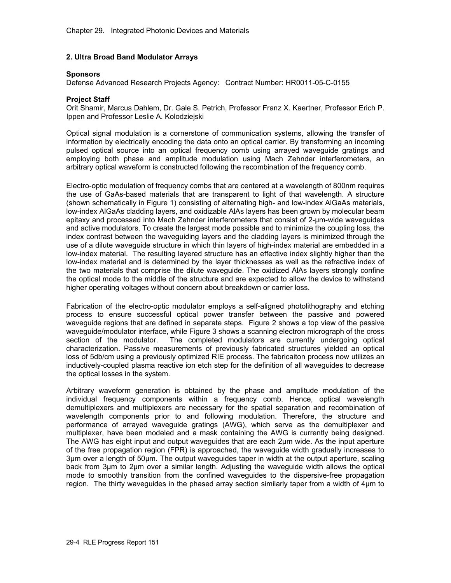# **2. Ultra Broad Band Modulator Arrays**

# **Sponsors**

Defense Advanced Research Projects Agency: Contract Number: HR0011-05-C-0155

## **Project Staff**

Orit Shamir, Marcus Dahlem, Dr. Gale S. Petrich, Professor Franz X. Kaertner, Professor Erich P. Ippen and Professor Leslie A. Kolodziejski

Optical signal modulation is a cornerstone of communication systems, allowing the transfer of information by electrically encoding the data onto an optical carrier. By transforming an incoming pulsed optical source into an optical frequency comb using arrayed waveguide gratings and employing both phase and amplitude modulation using Mach Zehnder interferometers, an arbitrary optical waveform is constructed following the recombination of the frequency comb.

Electro-optic modulation of frequency combs that are centered at a wavelength of 800nm requires the use of GaAs-based materials that are transparent to light of that wavelength. A structure (shown schematically in Figure 1) consisting of alternating high- and low-index AlGaAs materials, low-index AlGaAs cladding layers, and oxidizable AlAs layers has been grown by molecular beam epitaxy and processed into Mach Zehnder interferometers that consist of 2-µm-wide waveguides and active modulators. To create the largest mode possible and to minimize the coupling loss, the index contrast between the waveguiding layers and the cladding layers is minimized through the use of a dilute waveguide structure in which thin layers of high-index material are embedded in a low-index material. The resulting layered structure has an effective index slightly higher than the low-index material and is determined by the layer thicknesses as well as the refractive index of the two materials that comprise the dilute waveguide. The oxidized AlAs layers strongly confine the optical mode to the middle of the structure and are expected to allow the device to withstand higher operating voltages without concern about breakdown or carrier loss.

Fabrication of the electro-optic modulator employs a self-aligned photolithography and etching process to ensure successful optical power transfer between the passive and powered waveguide regions that are defined in separate steps. Figure 2 shows a top view of the passive waveguide/modulator interface, while Figure 3 shows a scanning electron micrograph of the cross section of the modulator. The completed modulators are currently undergoing optical characterization. Passive measurements of previously fabricated structures yielded an optical loss of 5db/cm using a previously optimized RIE process. The fabricaiton process now utilizes an inductively-coupled plasma reactive ion etch step for the definition of all waveguides to decrease the optical losses in the system.

Arbitrary waveform generation is obtained by the phase and amplitude modulation of the individual frequency components within a frequency comb. Hence, optical wavelength demultiplexers and multiplexers are necessary for the spatial separation and recombination of wavelength components prior to and following modulation. Therefore, the structure and performance of arrayed waveguide gratings (AWG), which serve as the demultiplexer and multiplexer, have been modeled and a mask containing the AWG is currently being designed. The AWG has eight input and output waveguides that are each 2μm wide. As the input aperture of the free propagation region (FPR) is approached, the waveguide width gradually increases to 3μm over a length of 50μm. The output waveguides taper in width at the output aperture, scaling back from 3μm to 2μm over a similar length. Adjusting the waveguide width allows the optical mode to smoothly transition from the confined waveguides to the dispersive-free propagation region. The thirty waveguides in the phased array section similarly taper from a width of 4μm to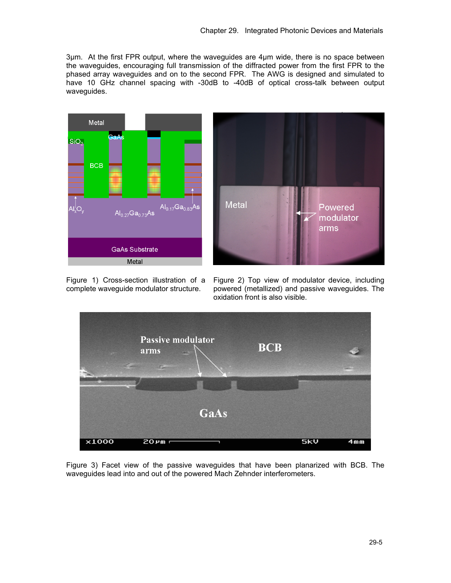3μm. At the first FPR output, where the waveguides are 4μm wide, there is no space between the waveguides, encouraging full transmission of the diffracted power from the first FPR to the phased array waveguides and on to the second FPR. The AWG is designed and simulated to have 10 GHz channel spacing with -30dB to -40dB of optical cross-talk between output waveguides.





complete waveguide modulator structure.

Figure 1) Cross-section illustration of a Figure 2) Top view of modulator device, including powered (metallized) and passive waveguides. The oxidation front is also visible.



Figure 3) Facet view of the passive waveguides that have been planarized with BCB. The waveguides lead into and out of the powered Mach Zehnder interferometers.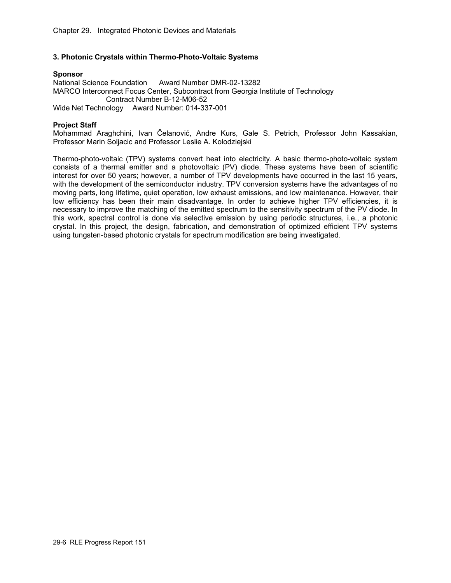# **3. Photonic Crystals within Thermo-Photo-Voltaic Systems**

# **Sponsor**

National Science Foundation Award Number DMR-02-13282 MARCO Interconnect Focus Center, Subcontract from Georgia Institute of Technology Contract Number B-12-M06-52 Wide Net Technology Award Number: 014-337-001

# **Project Staff**

Mohammad Araghchini, Ivan Čelanović, Andre Kurs, Gale S. Petrich, Professor John Kassakian, Professor Marin Soljacic and Professor Leslie A. Kolodziejski

Thermo-photo-voltaic (TPV) systems convert heat into electricity. A basic thermo-photo-voltaic system consists of a thermal emitter and a photovoltaic (PV) diode. These systems have been of scientific interest for over 50 years; however, a number of TPV developments have occurred in the last 15 years, with the development of the semiconductor industry. TPV conversion systems have the advantages of no moving parts, long lifetime, quiet operation, low exhaust emissions, and low maintenance. However, their low efficiency has been their main disadvantage. In order to achieve higher TPV efficiencies, it is necessary to improve the matching of the emitted spectrum to the sensitivity spectrum of the PV diode. In this work, spectral control is done via selective emission by using periodic structures, i.e., a photonic crystal. In this project, the design, fabrication, and demonstration of optimized efficient TPV systems using tungsten-based photonic crystals for spectrum modification are being investigated.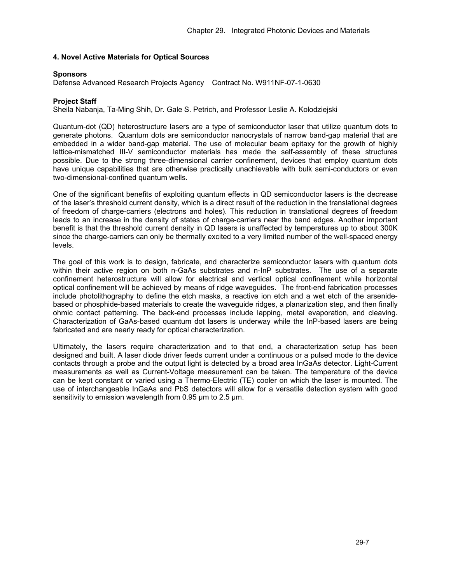## **4. Novel Active Materials for Optical Sources**

### **Sponsors**

Defense Advanced Research Projects Agency Contract No. W911NF-07-1-0630

## **Project Staff**

Sheila Nabanja, Ta-Ming Shih, Dr. Gale S. Petrich, and Professor Leslie A. Kolodziejski

Quantum-dot (QD) heterostructure lasers are a type of semiconductor laser that utilize quantum dots to generate photons. Quantum dots are semiconductor nanocrystals of narrow band-gap material that are embedded in a wider band-gap material. The use of molecular beam epitaxy for the growth of highly lattice-mismatched III-V semiconductor materials has made the self-assembly of these structures possible. Due to the strong three-dimensional carrier confinement, devices that employ quantum dots have unique capabilities that are otherwise practically unachievable with bulk semi-conductors or even two-dimensional-confined quantum wells.

One of the significant benefits of exploiting quantum effects in QD semiconductor lasers is the decrease of the laser's threshold current density, which is a direct result of the reduction in the translational degrees of freedom of charge-carriers (electrons and holes). This reduction in translational degrees of freedom leads to an increase in the density of states of charge-carriers near the band edges. Another important benefit is that the threshold current density in QD lasers is unaffected by temperatures up to about 300K since the charge-carriers can only be thermally excited to a very limited number of the well-spaced energy levels.

The goal of this work is to design, fabricate, and characterize semiconductor lasers with quantum dots within their active region on both n-GaAs substrates and n-InP substrates. The use of a separate confinement heterostructure will allow for electrical and vertical optical confinement while horizontal optical confinement will be achieved by means of ridge waveguides. The front-end fabrication processes include photolithography to define the etch masks, a reactive ion etch and a wet etch of the arsenidebased or phosphide-based materials to create the waveguide ridges, a planarization step, and then finally ohmic contact patterning. The back-end processes include lapping, metal evaporation, and cleaving. Characterization of GaAs-based quantum dot lasers is underway while the InP-based lasers are being fabricated and are nearly ready for optical characterization.

Ultimately, the lasers require characterization and to that end, a characterization setup has been designed and built. A laser diode driver feeds current under a continuous or a pulsed mode to the device contacts through a probe and the output light is detected by a broad area InGaAs detector. Light-Current measurements as well as Current-Voltage measurement can be taken. The temperature of the device can be kept constant or varied using a Thermo-Electric (TE) cooler on which the laser is mounted. The use of interchangeable InGaAs and PbS detectors will allow for a versatile detection system with good sensitivity to emission wavelength from 0.95  $\mu$ m to 2.5  $\mu$ m.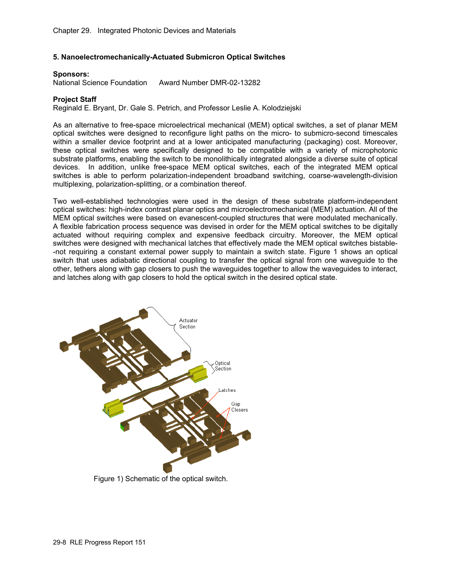## **5. Nanoelectromechanically-Actuated Submicron Optical Switches**

#### **Sponsors:**

National Science Foundation Award Number DMR-02-13282

# **Project Staff**

Reginald E. Bryant, Dr. Gale S. Petrich, and Professor Leslie A. Kolodziejski

As an alternative to free-space microelectrical mechanical (MEM) optical switches, a set of planar MEM optical switches were designed to reconfigure light paths on the micro- to submicro-second timescales within a smaller device footprint and at a lower anticipated manufacturing (packaging) cost. Moreover, these optical switches were specifically designed to be compatible with a variety of microphotonic substrate platforms, enabling the switch to be monolithically integrated alongside a diverse suite of optical devices. In addition, unlike free-space MEM optical switches, each of the integrated MEM optical switches is able to perform polarization-independent broadband switching, coarse-wavelength-division multiplexing, polarization-splitting, or a combination thereof.

Two well-established technologies were used in the design of these substrate platform-independent optical switches: high-index contrast planar optics and microelectromechanical (MEM) actuation. All of the MEM optical switches were based on evanescent-coupled structures that were modulated mechanically. A flexible fabrication process sequence was devised in order for the MEM optical switches to be digitally actuated without requiring complex and expensive feedback circuitry. Moreover, the MEM optical switches were designed with mechanical latches that effectively made the MEM optical switches bistable- -not requiring a constant external power supply to maintain a switch state. Figure 1 shows an optical switch that uses adiabatic directional coupling to transfer the optical signal from one waveguide to the other, tethers along with gap closers to push the waveguides together to allow the waveguides to interact, and latches along with gap closers to hold the optical switch in the desired optical state.



Figure 1) Schematic of the optical switch.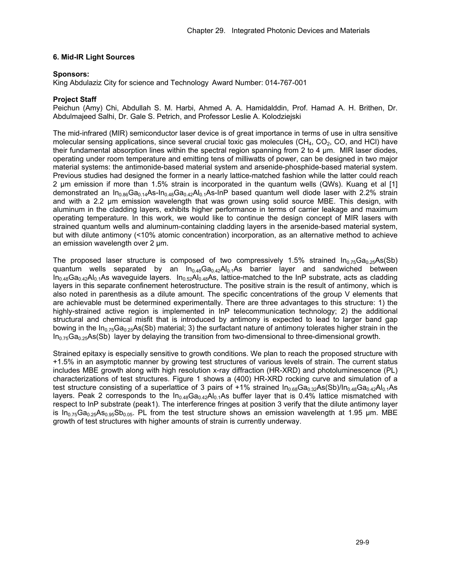# **6. Mid-IR Light Sources**

## **Sponsors:**

King Abdulaziz City for science and Technology Award Number: 014-767-001

# **Project Staff**

Peichun (Amy) Chi, Abdullah S. M. Harbi, Ahmed A. A. Hamidalddin, Prof. Hamad A. H. Brithen, Dr. Abdulmajeed Salhi, Dr. Gale S. Petrich, and Professor Leslie A. Kolodziejski

The mid-infrared (MIR) semiconductor laser device is of great importance in terms of use in ultra sensitive molecular sensing applications, since several crucial toxic gas molecules  $(CH_4, CO_2, CO_3$  and HCl) have their fundamental absorption lines within the spectral region spanning from 2 to 4 μm. MIR laser diodes, operating under room temperature and emitting tens of milliwatts of power, can be designed in two major material systems: the antimonide-based material system and arsenide-phosphide-based material system. Previous studies had designed the former in a nearly lattice-matched fashion while the latter could reach 2 μm emission if more than 1.5% strain is incorporated in the quantum wells (QWs). Kuang et al [1] demonstrated an  $In_{0.86}Ga_{0.14}As-In_{0.48}Ga_{0.42}Al_{0.1}As-InP$  based quantum well diode laser with 2.2% strain and with a 2.2 μm emission wavelength that was grown using solid source MBE. This design, with aluminum in the cladding layers, exhibits higher performance in terms of carrier leakage and maximum operating temperature. In this work, we would like to continue the design concept of MIR lasers with strained quantum wells and aluminum-containing cladding layers in the arsenide-based material system, but with dilute antimony (<10% atomic concentration) incorporation, as an alternative method to achieve an emission wavelength over 2 μm.

The proposed laser structure is composed of two compressively 1.5% strained  $\ln_{0.75}Ga_{0.25}As(Sb)$ quantum wells separated by an  $In<sub>0.48</sub>Ga<sub>0.42</sub>Al<sub>0.1</sub>As barrier layer and sandwiched between$  $In_{0.48}Ga_{0.42}Al_{0.1}As$  waveguide layers.  $In_{0.52}Al_{0.48}As$ , lattice-matched to the InP substrate, acts as cladding layers in this separate confinement heterostructure. The positive strain is the result of antimony, which is also noted in parenthesis as a dilute amount. The specific concentrations of the group V elements that are achievable must be determined experimentally. There are three advantages to this structure: 1) the highly-strained active region is implemented in InP telecommunication technology; 2) the additional structural and chemical misfit that is introduced by antimony is expected to lead to larger band gap bowing in the In<sub>0.75</sub>Ga<sub>0.25</sub>As(Sb) material; 3) the surfactant nature of antimony tolerates higher strain in the  $In<sub>0.75</sub>Ga<sub>0.25</sub>As(Sb)$  layer by delaying the transition from two-dimensional to three-dimensional growth.

Strained epitaxy is especially sensitive to growth conditions. We plan to reach the proposed structure with +1.5% in an asymptotic manner by growing test structures of various levels of strain. The current status includes MBE growth along with high resolution x-ray diffraction (HR-XRD) and photoluminescence (PL) characterizations of test structures. Figure 1 shows a (400) HR-XRD rocking curve and simulation of a test structure consisting of a superlattice of 3 pairs of +1% strained  $In_{0.68}Ga_{0.32}As(Sb)/In_{0.48}Ga_{0.42}Al_{0.1}As$ layers. Peak 2 corresponds to the  $In_{0.48}Ga_{0.42}Al_{0.1}As$  buffer layer that is 0.4% lattice mismatched with respect to InP substrate (peak1). The interference fringes at position 3 verify that the dilute antimony layer is  $In_{0.75}Ga_{0.25}As_{0.95}Sb_{0.05}$ . PL from the test structure shows an emission wavelength at 1.95 µm. MBE growth of test structures with higher amounts of strain is currently underway.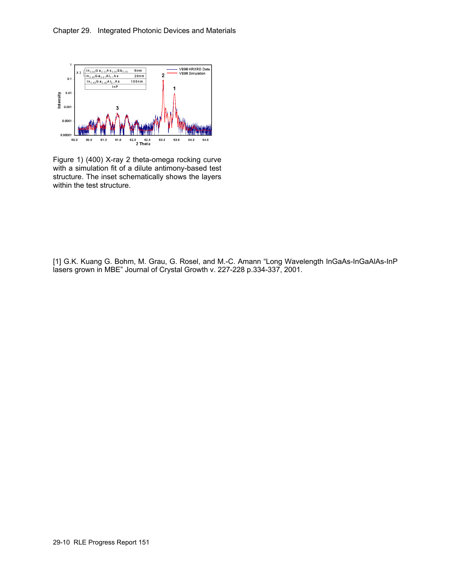

Figure 1) (400) X-ray 2 theta-omega rocking curve with a simulation fit of a dilute antimony-based test structure. The inset schematically shows the layers within the test structure.

[1] G.K. Kuang G. Bohm, M. Grau, G. Rosel, and M.-C. Amann "Long Wavelength InGaAs-InGaAlAs-InP lasers grown in MBE" Journal of Crystal Growth v. 227-228 p.334-337, 2001.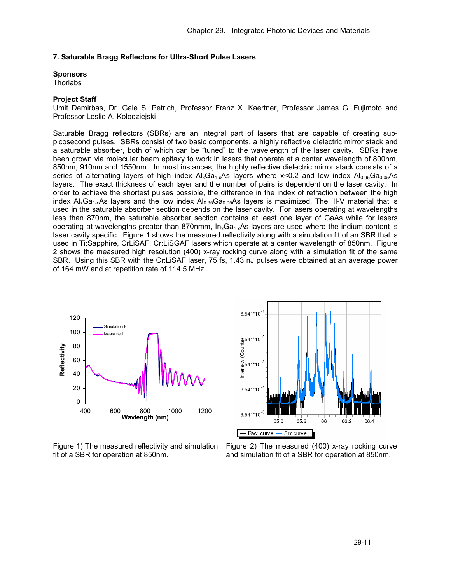#### **7. Saturable Bragg Reflectors for Ultra-Short Pulse Lasers**

# **Sponsors**

**Thorlabs** 

## **Project Staff**

Umit Demirbas, Dr. Gale S. Petrich, Professor Franz X. Kaertner, Professor James G. Fujimoto and Professor Leslie A. Kolodziejski

Saturable Bragg reflectors (SBRs) are an integral part of lasers that are capable of creating subpicosecond pulses. SBRs consist of two basic components, a highly reflective dielectric mirror stack and a saturable absorber, both of which can be "tuned" to the wavelength of the laser cavity. SBRs have been grown via molecular beam epitaxy to work in lasers that operate at a center wavelength of 800nm, 850nm, 910nm and 1550nm. In most instances, the highly reflective dielectric mirror stack consists of a series of alternating layers of high index  $Al_xGa_{1-x}As$  layers where x<0.2 and low index  $Al_{0.95}Ga_{0.05}As$ layers. The exact thickness of each layer and the number of pairs is dependent on the laser cavity. In order to achieve the shortest pulses possible, the difference in the index of refraction between the high index  $Al_xGa_{1-x}As$  layers and the low index  $Al_{0.95}Ga_{0.05}As$  layers is maximized. The III-V material that is used in the saturable absorber section depends on the laser cavity. For lasers operating at wavelengths less than 870nm, the saturable absorber section contains at least one layer of GaAs while for lasers operating at wavelengths greater than 870nmm,  $In_xGa_{1-x}As$  layers are used where the indium content is laser cavity specific. Figure 1 shows the measured reflectivity along with a simulation fit of an SBR that is used in Ti:Sapphire, CrLiSAF, Cr:LiSGAF lasers which operate at a center wavelength of 850nm. Figure 2 shows the measured high resolution (400) x-ray rocking curve along with a simulation fit of the same SBR. Using this SBR with the Cr:LiSAF laser, 75 fs, 1.43 nJ pulses were obtained at an average power of 164 mW and at repetition rate of 114.5 MHz.





Figure 1) The measured reflectivity and simulation fit of a SBR for operation at 850nm.

Figure 2) The measured (400) x-ray rocking curve and simulation fit of a SBR for operation at 850nm.